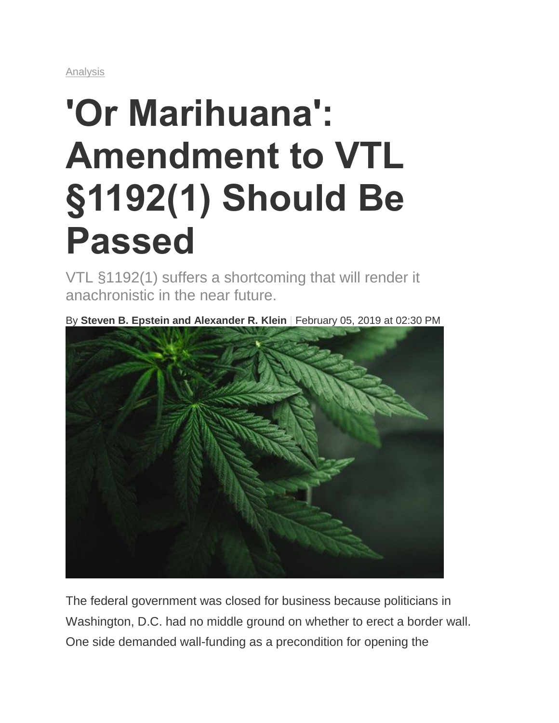## **'Or Marihuana': Amendment to VTL §1192(1) Should Be Passed**

VTL §1192(1) suffers a shortcoming that will render it anachronistic in the near future.

By **Steven B. Epstein and Alexander R. Klein** | February 05, 2019 at 02:30 PM



The federal government was closed for business because politicians in Washington, D.C. had no middle ground on whether to erect a border wall. One side demanded wall-funding as a precondition for opening the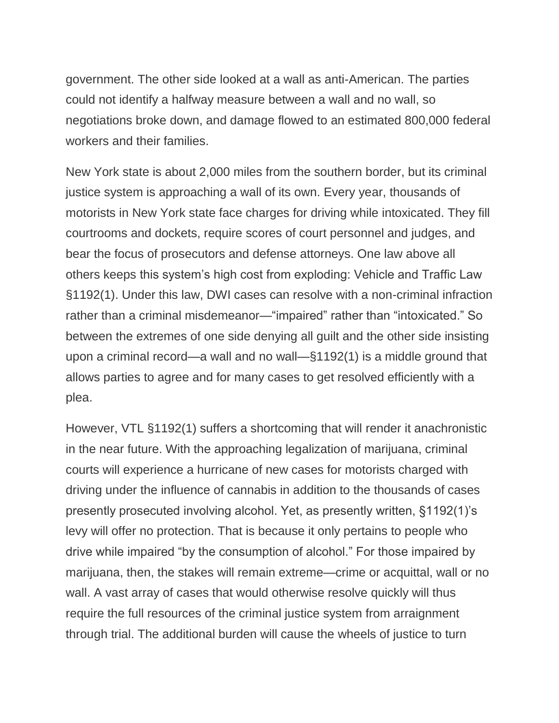government. The other side looked at a wall as anti-American. The parties could not identify a halfway measure between a wall and no wall, so negotiations broke down, and damage flowed to an estimated 800,000 federal workers and their families.

New York state is about 2,000 miles from the southern border, but its criminal justice system is approaching a wall of its own. Every year, thousands of motorists in New York state face charges for driving while intoxicated. They fill courtrooms and dockets, require scores of court personnel and judges, and bear the focus of prosecutors and defense attorneys. One law above all others keeps this system's high cost from exploding: Vehicle and Traffic Law §1192(1). Under this law, DWI cases can resolve with a non-criminal infraction rather than a criminal misdemeanor—"impaired" rather than "intoxicated." So between the extremes of one side denying all guilt and the other side insisting upon a criminal record—a wall and no wall—§1192(1) is a middle ground that allows parties to agree and for many cases to get resolved efficiently with a plea.

However, VTL §1192(1) suffers a shortcoming that will render it anachronistic in the near future. With the approaching legalization of marijuana, criminal courts will experience a hurricane of new cases for motorists charged with driving under the influence of cannabis in addition to the thousands of cases presently prosecuted involving alcohol. Yet, as presently written, §1192(1)'s levy will offer no protection. That is because it only pertains to people who drive while impaired "by the consumption of alcohol." For those impaired by marijuana, then, the stakes will remain extreme—crime or acquittal, wall or no wall. A vast array of cases that would otherwise resolve quickly will thus require the full resources of the criminal justice system from arraignment through trial. The additional burden will cause the wheels of justice to turn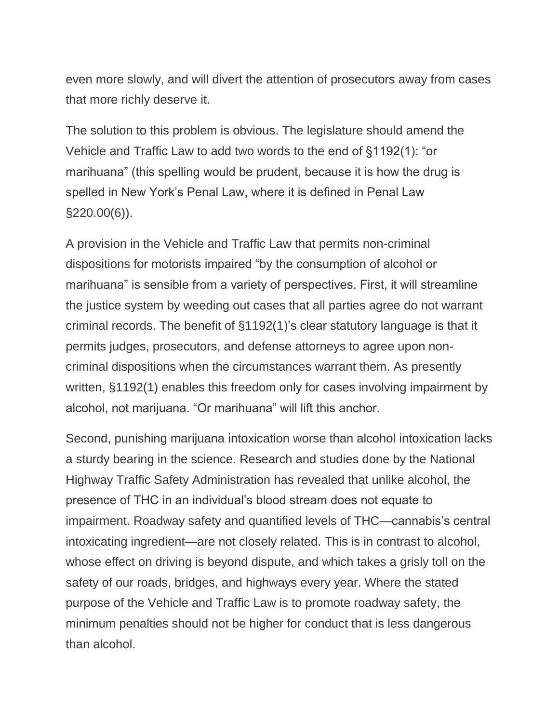even more slowly, and will divert the attention of prosecutors away from cases that more richly deserve it.

The solution to this problem is obvious. The legislature should amend the Vehicle and Traffic Law to add two words to the end of §1192(1): "or marihuana" (this spelling would be prudent, because it is how the drug is spelled in New York's Penal Law, where it is defined in Penal Law §220.00(6)).

A provision in the Vehicle and Traffic Law that permits non-criminal dispositions for motorists impaired "by the consumption of alcohol or marihuana" is sensible from a variety of perspectives. First, it will streamline the justice system by weeding out cases that all parties agree do not warrant criminal records. The benefit of §1192(1)'s clear statutory language is that it permits judges, prosecutors, and defense attorneys to agree upon noncriminal dispositions when the circumstances warrant them. As presently written, §1192(1) enables this freedom only for cases involving impairment by alcohol, not marijuana. "Or marihuana" will lift this anchor.

Second, punishing marijuana intoxication worse than alcohol intoxication lacks a sturdy bearing in the science. Research and studies done by the National Highway Traffic Safety Administration has revealed that unlike alcohol, the presence of THC in an individual's blood stream does not equate to impairment. Roadway safety and quantified levels of THC—cannabis's central intoxicating ingredient—are not closely related. This is in contrast to alcohol, whose effect on driving is beyond dispute, and which takes a grisly toll on the safety of our roads, bridges, and highways every year. Where the stated purpose of the Vehicle and Traffic Law is to promote roadway safety, the minimum penalties should not be higher for conduct that is less dangerous than alcohol.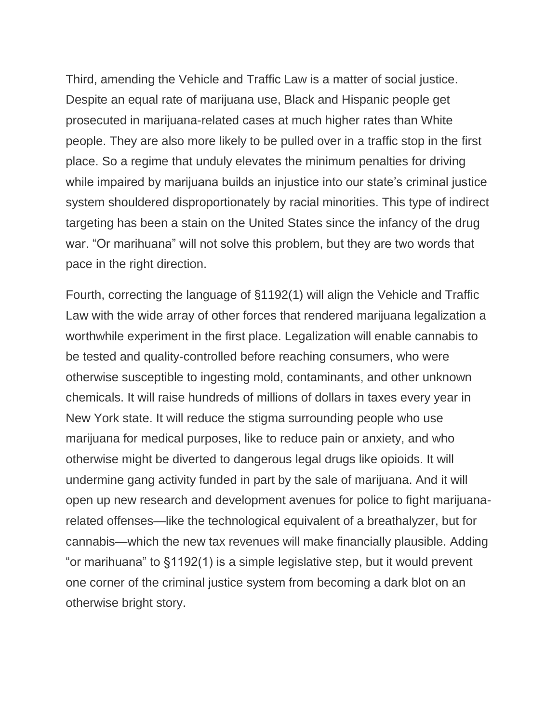Third, amending the Vehicle and Traffic Law is a matter of social justice. Despite an equal rate of marijuana use, Black and Hispanic people get prosecuted in marijuana-related cases at much higher rates than White people. They are also more likely to be pulled over in a traffic stop in the first place. So a regime that unduly elevates the minimum penalties for driving while impaired by marijuana builds an injustice into our state's criminal justice system shouldered disproportionately by racial minorities. This type of indirect targeting has been a stain on the United States since the infancy of the drug war. "Or marihuana" will not solve this problem, but they are two words that pace in the right direction.

Fourth, correcting the language of §1192(1) will align the Vehicle and Traffic Law with the wide array of other forces that rendered marijuana legalization a worthwhile experiment in the first place. Legalization will enable cannabis to be tested and quality-controlled before reaching consumers, who were otherwise susceptible to ingesting mold, contaminants, and other unknown chemicals. It will raise hundreds of millions of dollars in taxes every year in New York state. It will reduce the stigma surrounding people who use marijuana for medical purposes, like to reduce pain or anxiety, and who otherwise might be diverted to dangerous legal drugs like opioids. It will undermine gang activity funded in part by the sale of marijuana. And it will open up new research and development avenues for police to fight marijuanarelated offenses—like the technological equivalent of a breathalyzer, but for cannabis—which the new tax revenues will make financially plausible. Adding "or marihuana" to §1192(1) is a simple legislative step, but it would prevent one corner of the criminal justice system from becoming a dark blot on an otherwise bright story.